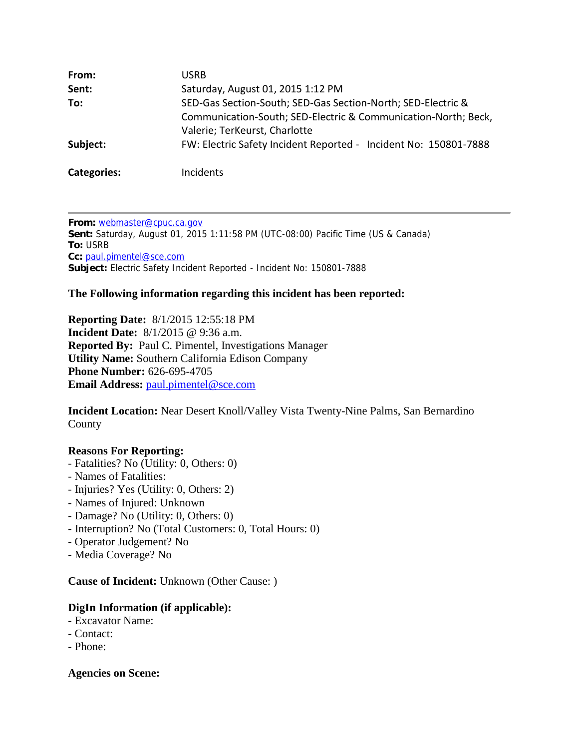| From:              | USRB                                                                                            |
|--------------------|-------------------------------------------------------------------------------------------------|
| Sent:              | Saturday, August 01, 2015 1:12 PM                                                               |
| To:                | SED-Gas Section-South; SED-Gas Section-North; SED-Electric &                                    |
|                    | Communication-South; SED-Electric & Communication-North; Beck,<br>Valerie; TerKeurst, Charlotte |
| Subject:           | FW: Electric Safety Incident Reported - Incident No: 150801-7888                                |
| <b>Categories:</b> | Incidents                                                                                       |

**From:** webmaster@cpuc.ca.gov **Sent:** Saturday, August 01, 2015 1:11:58 PM (UTC-08:00) Pacific Time (US & Canada) **To:** USRB **Cc:** paul.pimentel@sce.com **Subject:** Electric Safety Incident Reported - Incident No: 150801-7888

# **The Following information regarding this incident has been reported:**

**Reporting Date:** 8/1/2015 12:55:18 PM **Incident Date:** 8/1/2015 @ 9:36 a.m. **Reported By:** Paul C. Pimentel, Investigations Manager **Utility Name:** Southern California Edison Company **Phone Number:** 626-695-4705 **Email Address: paul.pimentel@sce.com** 

**Incident Location:** Near Desert Knoll/Valley Vista Twenty-Nine Palms, San Bernardino County

#### **Reasons For Reporting:**

- Fatalities? No (Utility: 0, Others: 0)
- Names of Fatalities:
- Injuries? Yes (Utility: 0, Others: 2)
- Names of Injured: Unknown
- Damage? No (Utility: 0, Others: 0)
- Interruption? No (Total Customers: 0, Total Hours: 0)
- Operator Judgement? No
- Media Coverage? No

**Cause of Incident:** Unknown (Other Cause: )

# **DigIn Information (if applicable):**

- Excavator Name:
- Contact:
- Phone:

**Agencies on Scene:**